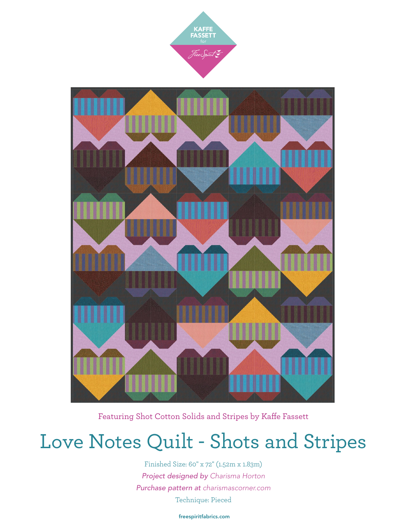



Featuring Shot Cotton Solids and Stripes by Kaffe Fassett

# Love Notes Quilt - Shots and Stripes

Finished Size: 60" x 72" (1.52m x 1.83m) *Project designed by Charisma Horton Purchase pattern at [charismascorner.com](http://charismascorner.com)* Technique: Pieced

[freespiritfabrics.com](http://www.freespiritfabric.com)